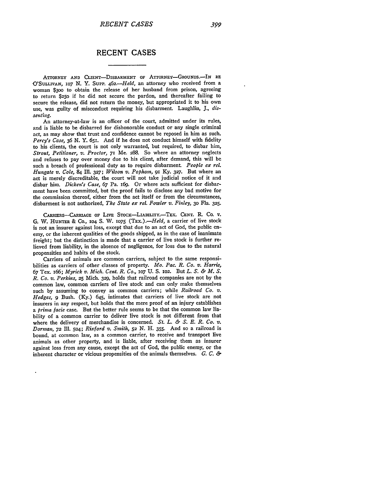## **RECENT CASES**

ATTORNEY **AND** CLIENT-DISBARMENT OF ATTORNEY-GROUNDS.-IN RE -O'SULLIVAN, **io7** N. Y. SUPP. *462.-Held,* an attorney who received from a woman \$3oo to obtain the release of her husband from prison, agreeing to return \$250 if he did not secure the pardon, and thereafter failing to secure the release, did not return the money, but appropriated it to his own use, was guilty of misconduct requiring his disbarment. Laughlin, **J.,** *dissenting.*

An attorney-at-law is an officer of the court, admitted under its rules, and is liable to be disbarred for dishonorable conduct or any single criminal act, as may show that trust and confidence cannot be reposed in him as such. *Percy's Case, 36* N. Y. 651. And if he does not conduct himself with fidelity to his clients, the court is not only warranted, but required, to disbar him, *Strout, Petitioner, v. Proctor,* **71** Me. **288.** So where an attorney neglects and refuses to pay over money due to his client, after demand, this will be such a breach of professional duty as to require disbarment. *People ex rel. Hungate v. Cole,* 84 Ill. **327;** *Wilson v. Pophain,* **9I** Ky. **327.** But where an act is merely discreditable, the court will not take judicial notice of it and disbar him. *Dicken's Case, 67* Pa. i69. Or where acts sufficient for disbarment have been committed, but the proof fails to disclose any bad motive for the commission thereof, either from the act itself or from the circumstances, disbarment is not authorized, *The State ex rel. Fowler v. Finley,* **30** Fla. **325.**

**CARRIERS--CARRIAGE OF** LIVE **STOcK-LIABILITY.-TEx. CENT. P\_ CO.** v. **G.** W. **HUNTER & CO., 104 S.** W. **1075** *(TEx.).-Held,* a carrier of live stock is not an insurer against loss, except that due to an act of God, the public enemy, or the inherent qualities of the goods shipped, as in the case of inanimate freight; but the distinction is made that a carrier of live stock is further relieved from liability, in the absence of negligence, for loss due to the natural propensities and habits of the stock.

Carriers of animals are common carriers, subject to the same responsibilities as carriers of other classes of property. *Mo. Pac. R. Co. v. Harris, 67* Tex. I66; *Myrick v. Mich. Cent. R. Co.,* **1o7 U. S. 102.** But *L. S. & M. S. R. Co. v. Perkins,* **25** Mich. **329,** holds that railroad companies are not by the common law, common carriers of live stock and can only make themselves such by assuming to convey as common carriers; while *Railroad Co. v. Hedges, 9* Bush. (Ky.) 645, intimates that carriers of live stock are not insurers in any respect, but holds that the mere proof of an injury establishes a *prima facie* case. But the better rule seems to be that the common law liability of a common carrier to deliver live stock is not different from that where the delivery of merchandise is concerned. *St. L. & S. E. R. Co. v. Dorman, 72* Ill. **504;** *Rixford v. Smith,* **52 N.** H. 355. And so a railroad is bound, at common law, as a common carrier, to receive and transport live animals as other property, and is liable, after receiving them as insurer against loss from any cause, except the act of God, the public enemy, or the inherent character or vicious propensities of the animals themselves. *G. C. &*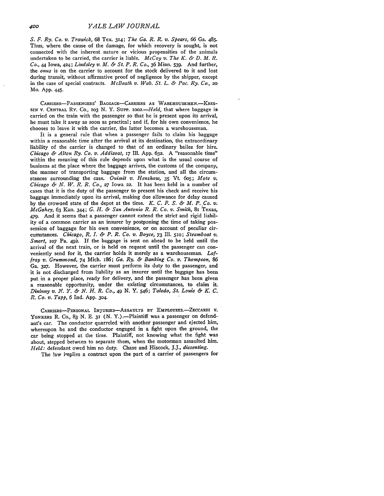*S. F. Ry. Co. v. Trawick,* 68 Tex. **314;** *The Ga. R. R. v. Spears, 66* Ga. 485. Thus, where the cause of the damage, for which recovery is sought, is not connected with the inherent nature or vicious propensities of the animals undertaken to be carried, the carrier is liable. *McCoy v. The K. & D. M. R. Co.,* 44 Iowa, 424; *Lindsley v. M. & St. P. R. Co.,* 36 Minn. 539. And further, the *onus* is on the carrier to account for the stock delivered to it and lost during transit, without affirmative proof of negligence by the shipper, except in the case of special contracts. *McBeath v. Wab. St. L. & Pac. Ry. Co., 20* Mo. App. 445-

CARRIERS-PASSENGERS' BAGGAGE-CARRIERS **AS** WAREHOUSEMEN.-KRES-SIN V. **CENTRAL** RY. Co., **1o3** N. Y. Surpp. *002.-Held,* that where baggage is carried on the train with the passenger so that he is present upon its arrival, he must take it away as soon as practical; and if, for his own convenience, he chooses to leave it with the carrier, the latter becomes a warehouseman.

It is a general rule that when a passenger fails to claim his baggage within a reasonable time after the arrival at its destination, the extraordinary liability of the carrier is changed to that of an ordinary bailee for hire. *Chicago & Alton Ry. Co. v. Addizoat,* **17** Ill. App. **632.** A "reasonable time" within the meaning of this rule depends upon what is the usual course of business at the place where the baggage arrives, the customs of the company, the manner of transporting baggage from the station, and all the circumstances surrounding the case. *Ouimit v. Henshaw,* 35 Vt. 6o5; *Mote v. Chicago & N. W. R. R. Co.,* **27** Iowa *22.* It has been held in a number of cases that it is the duty of the passenger to present his check and receive his baggage immediately upon its arrival, making due allowance for delay caused by the crowaed state of the depot at the time. *K. C. F. S. & M. P. Co. v. McGahey,* 63 Kan. 344; *G. H. & San Antonio R. R. Co. v. Smith,* 81 Fexas, 479. And it seems that a passenger cannot extend the strict and rigid liability of a common carrier as an insurer by postponing the time of taking possession of baggage for his own convenience, or on account of peculiar circumstances. *Chicago, R. L & P. R. Co. v. Boyce,* 73 Ill. **510;** *Steamboat v. Smart, iO7* Pa. 492. If the baggage is sent on ahead to be held until the arrival of the next train, or is held on request until the passenger can conveniently send for it, the carrier holds it merely as a warehouseman. *Laffray v. Grummond,* 74 Mich. i86; *Ga. Ry. & Banking Co. v. Thompson, 86* Ga. **327.** However, the carrier must perform its duty to the passenger, and it is not discharged from liability as an insurer until the baggage has been put in a proper place, ready for delivery, and the passenger has been given a reasonable opportunity, under the existing circumstances, to claim it. *Dininny v. PN. Y. & N. H. R. Co., 49* **N. Y.** 546; *Toledo, St. Louis & K. C. R. Co. v. Tapp, 6* Ind. App. **304.**

CARRIERS-PERSONAL INJuRIEs-AsSAULTS BY **EMPLOYEEs.-ZEccARDI V.** YONKERS R. Co., 83 N. E. 31 (N. Y.).-Plaintiff was a passenger on defendant's car. The conductor quarreled with another passenger and ejected him, whereupon he and the conductor engaged in a fight upon the ground, the car being stopped at the time. Plaintiff, not knowing what the fight was about, stepped betwcen to separate them, when the motorman assaulted him. *Held:* defendant owed him no duty. Chase and Hiscock, J.J., *dissenting.*

The law implies a contract upon the part of a carrier of passengers for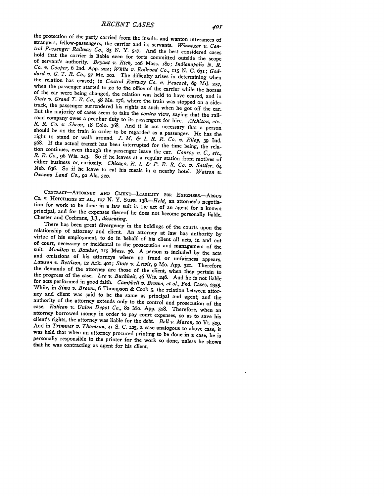the protection of the party carried from the insults and wanton utterances of<br>strangers, fellow-passengers, the carrier and its servants. Winnegar v. Cen-<br>tral Passenger Railway Co., 85 N. Y. 547. And the best considered tion continues, even though the passenger leave the car. Conroy v. C., etc., R. R. Co., 96 Wis. 243. So if he leaves at a regular station from motives of either business or curiosity. Chicago, R. I. & P. R. R. Co. v. Satt

CONTRACT—ATTORNEY AND CLIENT—LIABILITY FOR EXPENSES.—ARGUS CO. V. HOTCHKISS ET AL., IO7 N. Y. SUPP. 138.—Held, an attorney's negotiation for work to be done in a law suit is the act of an agent for a known principal, and f Chester and Cochrane, J.J., *dissenting*.<br>There has been great divergency in the holdings of the courts upon the

relationship of attorney and client. An attorney at law has authority by virtue of his employment, to do in behalf of his client all acts, in and out of court, necessary or incidental to the prosecution and management of authority of the attorney extends only to the control and prosecution of the case. Ratican v. Union Depot Co., 80 Mo. App. 528. Therefore, when an attorney borrowed money in order to pay court expenses, so as to save his that he was contracting as agent for his client.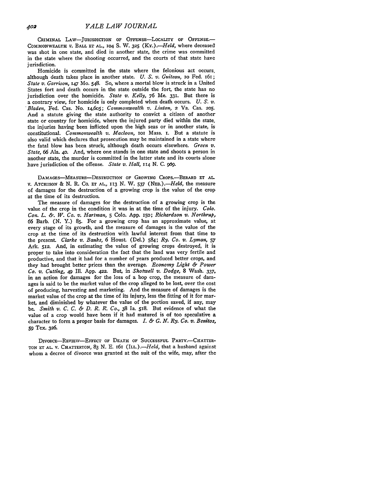CRIMINAL LAW-JURISDICTION OF OFFENSE-LOCALITY OF OFFENSE. COMMONWEALTH v. BALL **ET AL.,** 104 **S.** W. **325** *(Ky.) .- Held,* where deceased was shot in one state, and died in another state, the crime was committed in the state where the shooting occurred, and the courts of that state have jurisdiction.

Homicide is committed in the state where the felonious act occurs, although death takes place in another state. *U. S. v. Guiteau,* io Fed. 161; *State v. Garrison,* **147** Mo. 548. So, where a mortal blow is struck in a United States fort and death occurs in the state outside the fort, the state has no jurisdiction over the homicide. *State v. Kelly, 76* Me. 331. But there is a contrary view, for homicide is only completed when death occurs. *U. S. v. Bladen,* Fed. Cas. No. 14,605; *Commonwealth v. Linton,* 2 Va. Cas. 205. And a statute giving the state authority to convict a citizen of another state or country for homicide, where the injured party died within the state, the injuries having been inflicted upon the high seas or in another state, is constitutional. *Commonwealth v. Macloon,* **io** Mass. **I.** But a statute is also valid which declares that prosecution may be maintained in a state where the fatal blow has been struck, although death occurs elsewhere. *Green v. State,* 66 Ala. **40.** And, where one stands in one state and shoots a person in another state, the murder is committed in the latter state and its courts alone have jurisdiction of the offense. *State v. Hall,* **114 N. C. 969.**

DAMAGES-MEASURE-DESTRUCTION **OF GROWING CROPS.-BERARD ET AL.** v. ATCHISON & N. R. **Co. ET AL., 113 N.** W. 537 *(NFB.).-Held,* the measure of damages for the destruction of a growing crop is the value of the crop at the time of its destruction.

The measure of damages for the destruction of a growing crop is the value of the crop in the condition it was in at the time of the injury. Colo. *Con. L. &. W. Co. v. Hartman,* 5 Colo. App. I5o; *Richardson v. Northrup,* 66 Barb. (N. Y.) **85.** For a growing crop has an approximate value, at every stage of its growth, and the measure of damages is the value of the crop at the time of its destruction with lawful interest from that time to the present. *Clarke v. Banks,* 6 Houst. (Del.) 584; *Ry. Co. v. Lyman,* **57** Ark. 512. And, in estimating the value of growing crops destroyed, it is proper to take into consideration the fact that the land was very fertile and productive, and that it had for a number of years produced better crops, and they had brought better prices than the average. *Economy Light & Power Co. v. Cutting,* 49 **Ill.** App. 422. But, in *Shotwell v. Dodge,* 8 Wash. 337, in an action for damages for the loss of a hop crop, the measure of damages is said to be the market value of the crop alleged to be lost, over the cost of producing, harvesting and marketing. And the measure of damages is the market value of the crop at the time of its injury, less the fitting of it for market, and diminished by whatever the value of the portion saved, if any, may be. *Smith v. C. C. & D. R. R. Co.,* 38 Ia. 518. But evidence of what the value of a crop would have been if it had matured is of too speculative a character to form a proper basis for damages. *L & G. N. Ry. Co. v. Benitos,* **59** Tex. **326.**

DIVORE-REvIEW-EFFEcT OF DEATH OF **SUCCESSFUL** PARTY.-CHATTER-**TON ET AL.** V. CHATTERTON, **83** N. E. 161 *(ILL.).-Held,* that a husband against whom a decree of divorce was granted at the suit of the wife, may, after the

402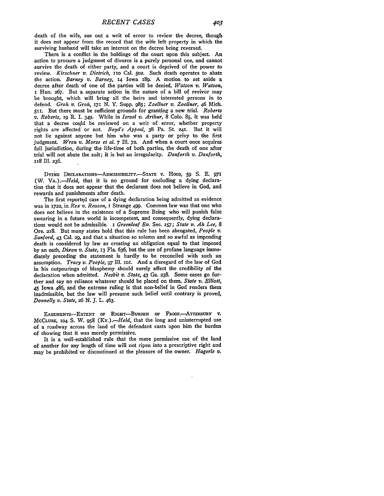death of the wife, sue out a writ of error to review the decree, though it does not appear from the record that the wife left property in which the surviving husband will take an interest on the decree being reversed.

There is a conflict in the holdings of the court upon this subject. An action to procure a judgment of divorce is a purely personal one, and cannot survive the death of either party, and a court is deprived of the power to review. *Kirschner v. Dietrich,* **i1O** Cal. **502.** Such death operates to abate the action. *Barney v. Barney,* **14** Iowa 189. **A** motion to set aside a decree after death of one of the parties will be denied, *Watson v. Watson,* i Hun. **267.** But a separate action in the nature of a bill of revivor may be brought, which will bring all the heirs and interested persons in to defend. *Groh v. Groh, 171* **N.** Y. Supp. **985;** *Zoellner v. Zoellner,* 46 Mich. **511.** But there must be sufficient grounds for granting a new trial. *Roberts v. Roberts,* **i9** P\_ I. 349. While in *Israel v. Arthur,* 8 **Colo. 85,** it was held that a decree could be reviewed on a writ of error, whether property rights are affected or not. *Boyd's Appeal,* **38** Pa. St. **24i.** But it will not lie against anyone but him who was a party or privy to the first judgment. *Wren v. Morse et al.* **7** Ill. **72.** And when a court once acquires full jurisdiction, during the life-time of both parties, the death of one after trial will not abate the suit; it is but an irregularity. *Danforth v. Danforth,* 118 Ill. **236.**

**DYING** DECLARATIONs-ADMIssmILrrY.-STATE v. **HOOD, 59** S. **E. 971** *(W. VA.).-Held,* that it is no ground for excluding a dying declaration that it does not appear that the declarant does not believe in God, and rewards and punishments after death.

The first reported case of a dying declaration being admitted as evidence was in **1722,** in *Rex v. Reason,* I Strange 499. Common law was that one who does not believe in the existence of a Supreme Being who will punish false swearing in a future world is incompetent, and consequently, dying declarations would not be admissible. **i** *Greenleaf Ev.* Sec. *157; State v. Ah Lee, 8* Ore. **218.** But many states hold that this rule has been abrogated, *People v. Sanford,* 43 Cal. **29,** and that a situation so solemn and so awful as impending death is considered by law as creating an obligation equal to that imposed by an oath, *Dixon v. State,* **13** Fla. 636, but the use of profane language immediately preceding the statement is hardly to be reconciled with such an assumption. *Tracy v. People,* 97 Ill. ior. And a disregard of the law of God in his outpourings of blasphemy should surely affect the credibility of the declaration when admitted. *Nesbit v. State,* 43 Ga. 238. Some cases go further and say no reliance whatever should be placed on them, *State v. Elliott,* 45 Iowa 486, and the extreme ruling is that non-belief in God renders them inadmissible, but the law will presume such belief until contrary is proved, *Donnelly v. State, 26* N. J. L. 463.

EASEMENTS-EXTENT **OF RIGHT-BuRDEN OF** PRooF.-ATTERBURY **V. McCLURE, 104 S.** W. **958** *(KY.).-Held,* that the long and uninterrupted use of a roadway across the land of the defendant casts upon him the burden **of** showing that it was merely permissive.

It is a well-established rule that the mere permissive use of the land of another for any length of time will not ripen into a prescriptive right and may be prohibited or discontinued at the pleasure of the owner. *Hagerle v.*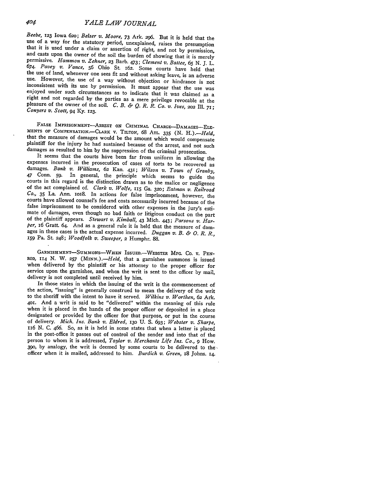Beebe, 123 Iowa 620; Belser v. Moore, 73 Ark. 296. But it is held that the use of a way for the statutory period, unexplained, raises the presumption that it is used under a claim or assertion of right, and not by permiss *674. Pavey v. Vance,* 56 Ohio St. 162. Some courts have held that the use of land, whenever one sees fit and without asking leave, is an adverse use. However, the use of a way without objection or hindrance is not inconsistent with its use by permission. It must appear that the use was enjoyed under such circumstances as to indicate that it was claimed as a right and not regarded by the parties as a mere privilege revocable at the pleasure of the owner of the soil. *C. B. & Q. R. R. Co. V. Ives,* **202** Ill. **71;** *Conyers v. Scott,* 94 **Ky.** 123.

FALSE IMPRISONMENT-ARREST ON CRIMINAL CHARGE-DAMAGES-ELE-MENTS OF COMPENSATION. -CLARK V. TILTON, 68 ATL. 335 (N. H.).-Held, that the measure of damages would be the amount which would compensate<br>plaintiff for the injury he had sustained because of the arrest, and not such damages as resulted to him **by** the suppression of the criminal prosecution. It seems that the courts have been far from uniform in allowing the

expenses incurred in the prosecution of cases of torts to be recovered as damages. Bank v. Williams, 62 Kan. 431; Wilson v. Town of Granby, 47 Conn. 59. In general, the principle which seems to guide the courts in this regard is the distinction drawn as to the malice or negligence of the act complained of. *Clark v. Wolfe,* **115** Ga. **320;** *Eatman v. Railroad Co.,* **35 La.** Ann. loi8. In actions for false imprisonment, however, the courts have allowed counsel's fee and costs necessarily incurred because of the false imprisonment to be considered with other expenses in the jury's estimate of damages, even though no bad faith or litigious conduct on the part of the plaintiff appears. *Stewart v. Kimball,* 43 Mich. 443; *Parsons v. Harper,* 16 Gratt. 64. And as a general rule it is held that the measure of damages in these cases is the actual expense incurred. *Duggan v. B. & 0. R. R.,* **i59** Pa. St. 248; *Woodfolk v. Sweeper,* 2 Humphr. 88.

GARNISHMENT-SUMMONS--WHEN ISSUED.-WEBSTER **MFG. CO.** V. **PEN-**ROD, **114** N. W. **257** *(MINN.).-Held,* that a garnishee summons is issued when delivered by the plaintiff or his attorney to the proper officer for service upon the garnishee, and when the writ is sent to the officer by mail, delivery is not completed until received by him.

In those states in which the issuing of the writ is the commencement of the action, "issuing" is generally construed to mean the delivery of the writ to the sheriff with the intent to have it served. *Wilkins v. Worthen,* 62 Ark. 4O. And a writ is said to be "delivered" within the meaning of this rule designated or provided by the officer for that purpose, or put in the course<br>of delivery. *Mich. Ins. Bank v. Eldred*, 130 U. S. 693; *Webster v. Sharpe*,<br>116 N. C. 466. So, as it is held in some states that when a letter person to whom it is addressed, *Taylor v. Merchants Life Ins. Co., 9* How. 390, by analogy, the writ is deemed by some courts to be delivered to the officer when it is mailed, addressed to him. *Burdich v. Green,* 18 Johns. 14.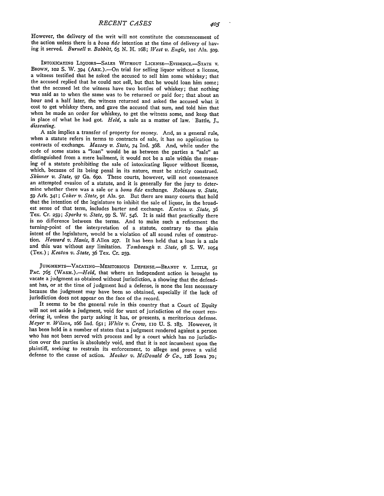However, the delivery of the writ will not constitute the commencement of the action unless there is a *bona fide* intention at the time of delivery of having it served. *Burnell v. Babbitt,* **65 N.** H. 168; *[Vest v. Engle, IoI* Ala. **509.**

INTOXICATING LIQUORS-SALES WITHOUT LICENSE-EVIDENCE.-STATE V. BROWN, 102 S. W. 394 (ARK.).--On trial for selling liquor without a license. a witness testified that he asked the accused to sell him some whiskey; that the accused replied that he could not sell, but that he would loan him some;<br>that the accused let the witness have two bottles of whiskey; that nothing was said as to when the same was to be returned or paid for; that about an hour and a half later, the witness returned and asked the accused what it cost to get whiskey there, and gave the accused that sum, and told him that when he made an order for whiskey, to get the witness some, and keep that in place of what he had got. *Held,* a sale as a matter of law. Battle, J., *dissenting.*

A sale implies a transfer of property for money. And, as a general rule, when a statute refers in terms to contracts of sale, it has no application to contracts of exchange. *Massey v. State,* 74 Ind. 368. And, while under the code of some states a "loan" would be as between the parties a "sale" as distinguished from a mere bailment, it would not be a sale within the mean- ing of a statute prohibiting the sale of intoxicating liquor without license, which, because of its being penal in its nature, must be strictly construed. *Skinner v. State,* 97 Ga. 69o. These courts, however, will not countenance an attempted evasion of a statute, and it is generally for the jury to determine whether there was a sale or a *bona fide* exchange. *Robinson v. State,* **<sup>59</sup>**Ark. 341; *Coker v. State,* 91 Ala. 92. But there are many courts that hold that the intention of the legislature to inhibit the sale of liquor, in the broadest sense of that term, includes barter and exchange. *Keaton v. State,* <sup>36</sup> Tex. Cr. **259;** *Sparks v. State, 99* S. W. 546. It is said that practically there is no difference between the terms. And to make such a refinement the turning-point of the interpretation of a statute, contrary to the plain intent of the legislature, would be a violation of all sound rules of construction. *Howard v. Hanis,* 8 Allen **297.** It has been held that a loan is a sale and this was without any limitation. *Tombeaugh v. State,* 98 S. W. **<sup>1054</sup>** (Tex.); *Keaton v. State,* 36 Tex. Cr. **259.**

JUDGMENTS-VACATING--MERITORIOUS **DEFENSE.-BRANDT** v. LITTLE, **<sup>91</sup>** PAC. 765 (WASH.).-*Held*, that where an independent action is brought to vacate a judgment as obtained without jurisdiction, a showing that the defendant has, or at the time of judgment had a defense, is none the less necessary because the judgment may have been so obtained, especially if the lack of jurisdiction does not appear on the face of the record.

It seems to be the general rule in this country that a Court of Equity will not set aside a judgment, void for want of jurisdiction of the court ren- dering it, unless the party asking it has, or presents, a meritorious defense. *Meyer v. Wilson, 166* Ind. 651; *White v. Crow,* **io** U. **S.** 183. However, it has been held in a number of states that a judgment rendered against a person who has not been served with process and by a court which has no jurisdiction over the parties is absolutely void, and that it is not incumbent upon the plaintiff, seeking to restrain its enforcement, to allege and prove a valid defense to the cause of action. *Mosher v. McDonald & Co.,* 128 Iowa 7o;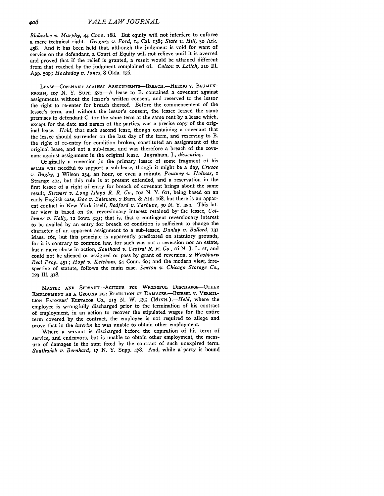*Blakeslee v. Murphy,* 44 Conn. 188. But equity will not interfere to enforce a mere technical right. *Gregory v. Ford,* 14 Cal. **138;** *State v. Hill,* 5o Ark. 458. And it has been held that, although the judgment is void for want of service on the defendant, a Court of Equity will not relieve until it is averred and proved that if the relief is granted, a result would be attained different from that reached by the judgment complained of. *Colson v. Leitch, iio* Ill. App. **509;** *Hockaday v. Tones,* 8 Okla. 156.

LEASE-COVENANT **AGAINST** ASSIGNMENTS-BREACH.-HERZIG v. BLUMEN-KROHN, 107 N. Y. SUPP. 570. A lease to B. contained a covenant against assignments without the lessor's written consent, and reserved to the lessor the right to re-enter for breach thereof. Before the commencement of the lessee's term, and without the lessor's consent, the lessee leased the same premises to defendant C. for the same term at the same rent by a lease which, except for the date and names of the parties, was a precise copy of the original lease. *Held,* that such second lease, though containing a covenant that the lessee should surrender on the last day of the term, and reserving to B. the right of re-entry for condition broken, constituted an assignment of the original lease, and not a sub-lease, and was therefore a breach of the covenant against assignment in the original lease. Ingraham, **J.,** *dissenting.*

Originally a reversion in the primary lessee of some fragment of his estate was needful to support a sub-lease, though it might be a day, *Crusoe v. Bugby,* 3 Wilson 234, an hour, or even a minute, *Poutney v. Holmes, i* Strange 404, but this rule is at present extended, and a reservation in the first lessee of a right of entry for breach of covenant brings about the same result, *Stewart v. Long Islapd R. R. Co., 102* **N.** Y. 6oi, being based on an early English case, *Doe v. Bateman,* 2 Barn. & **Ald.** i68, but there is an apparent conflict in New York itself, *Bedford v. Terhune, 3o* **N. Y.** 454. This latter view is based on the reversionary interest retained **by-** the lessee, *Collamer v. Kelly,* **12** Iowa **319;** that is, that a contingent reversionary interest to be availed **by** an entry for breach of condition is sufficient to change the character of an apparent assignment to a sub-lessee, *Dunlap v. Ballard,* <sup>131</sup> Mass. i61, but this principle is apparently predicated on statutory grounds, for it is contrary to common law, for such was not a reversion nor an estate, but a mere chose in action, *Southard v. Central R. R. Co., 26 N.* **J.** L. **21,** and could not be aliened or assigned or pass **by** grant of reversion, 2 *Washburn Real Prop.* 451; *Hoyt v. Ketcham,* 54 Conn. 60; and the modern view, irrespective of statute, follows the main case, *Sexton v. Chicago Storage Co.,* **129** Ill. 318.

MASTER **AND** SERVANT-AcTIONS FOR WRONGFUL DISCHARGE-OTHER EMPLOYMENT AS A GROUND FOR REDUCTION OF DAMAGES.—BEISSEL V. VERMIL-LION FARMERS' ELEVATOR Co., **113** N. W. *575 (MINN.).-Held,* where the employee is wrongfully discharged prior to the termination of his contract of employment, in an action to recover the stipulated wages for the entire term covered by the contract, the employee is not required to allege and prove that in the *interim* he was unable to obtain other employment.

Where a servant is discharged before the expiration of his term of service, and endeavors, but is unable to obtain other employment, the measure of damages is the sum fixed by the contract of such unexpired term. *Southwick v. Bernhard, i7* N. Y. Supp. 478. And, while a party is bound